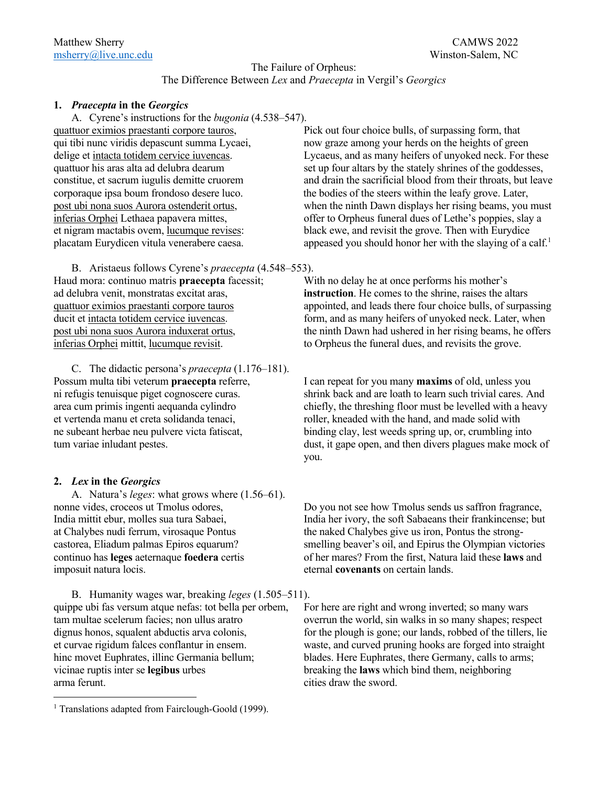## The Failure of Orpheus: The Difference Between *Lex* and *Praecepta* in Vergil's *Georgics*

#### **1.** *Praecepta* **in the** *Georgics*

A. Cyrene's instructions for the *bugonia* (4.538–547). quattuor eximios praestanti corpore tauros, Pick out four choice bulls, of surpassing form, that

B. Aristaeus follows Cyrene's *praecepta* (4.548–553). Haud mora: continuo matris **praecepta** facessit; With no delay he at once performs his mother's ad delubra venit, monstratas excitat aras, **instruction**. He comes to the shrine, raises the altars inferias Orphei mittit, lucumque revisit. to Orpheus the funeral dues, and revisits the grove.

C. The didactic persona's *praecepta* (1.176–181). Possum multa tibi veterum **praecepta** referre, I can repeat for you many **maxims** of old, unless you et vertenda manu et creta solidanda tenaci, roller, kneaded with the hand, and made solid with ne subeant herbae neu pulvere victa fatiscat, binding clay, lest weeds spring up, or, crumbling into

## **2.** *Lex* **in the** *Georgics*

A. Natura's *leges*: what grows where (1.56–61). at Chalybes nudi ferrum, virosaque Pontus the naked Chalybes give us iron, Pontus the strongimposuit natura locis. eternal **covenants** on certain lands.

B. Humanity wages war, breaking *leges* (1.505–511). quippe ubi fas versum atque nefas: tot bella per orbem, For here are right and wrong inverted; so many wars tam multae scelerum facies; non ullus aratro overrun the world, sin walks in so many shapes; respect hinc movet Euphrates, illinc Germania bellum; blades. Here Euphrates, there Germany, calls to arms; vicinae ruptis inter se **legibus** urbes breaking the **laws** which bind them, neighboring arma ferunt. The sword of the sword of the sword.

qui tibi nunc viridis depascunt summa Lycaei, now graze among your herds on the heights of green delige et intacta totidem cervice iuvencas. Lycaeus, and as many heifers of unyoked neck. For these quattuor his aras alta ad delubra dearum set up four altars by the stately shrines of the goddesses, constitue, et sacrum iugulis demitte cruorem and drain the sacrificial blood from their throats, but leave corporaque ipsa boum frondoso desere luco. the bodies of the steers within the leafy grove. Later, post ubi nona suos Aurora ostenderit ortus, when the ninth Dawn displays her rising beams, you must inferias Orphei Lethaea papavera mittes, offer to Orpheus funeral dues of Lethe's poppies, slay a et nigram mactabis ovem, lucumque revises: black ewe, and revisit the grove. Then with Eurydice placatam Eurydicen vitula venerabere caesa. appeased you should honor her with the slaying of a calf.<sup>1</sup>

quattuor eximios praestanti corpore tauros appointed, and leads there four choice bulls, of surpassing ducit et intacta totidem cervice iuvencas. form, and as many heifers of unyoked neck. Later, when post ubi nona suos Aurora induxerat ortus, the ninth Dawn had ushered in her rising beams, he offers

ni refugis tenuisque piget cognoscere curas. shrink back and are loath to learn such trivial cares. And area cum primis ingenti aequanda cylindro chiefly, the threshing floor must be levelled with a heavy tum variae inludant pestes.  $\frac{d}{dt}$  dust, it gape open, and then divers plagues make mock of you.

nonne vides, croceos ut Tmolus odores, Do you not see how Tmolus sends us saffron fragrance, India mittit ebur, molles sua tura Sabaei, India her ivory, the soft Sabaeans their frankincense; but castorea, Eliadum palmas Epiros equarum? smelling beaver's oil, and Epirus the Olympian victories continuo has **leges** aeternaque **foedera** certis of her mares? From the first, Natura laid these **laws** and

dignus honos, squalent abductis arva colonis, for the plough is gone; our lands, robbed of the tillers, lie et curvae rigidum falces conflantur in ensem. waste, and curved pruning hooks are forged into straight

<sup>&</sup>lt;sup>1</sup> Translations adapted from Fairclough-Goold (1999).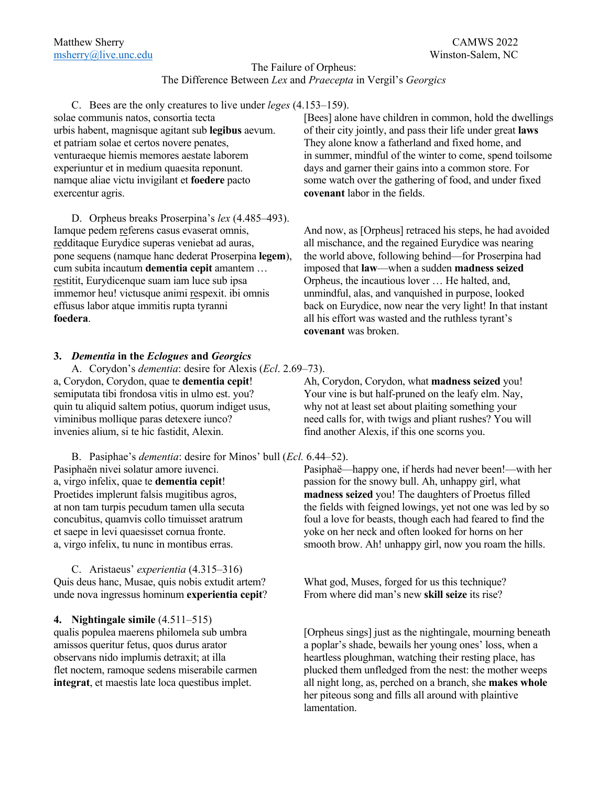# The Failure of Orpheus: The Difference Between *Lex* and *Praecepta* in Vergil's *Georgics*

C. Bees are the only creatures to live under *leges* (4.153–159). et patriam solae et certos novere penates, They alone know a fatherland and fixed home, and experiuntur et in medium quaesita reponunt. days and garner their gains into a common store. For exercentur agris. **covenant** labor in the fields.

D. Orpheus breaks Proserpina's *lex* (4.485–493). redditaque Eurydice superas veniebat ad auras, all mischance, and the regained Eurydice was nearing cum subita incautum **dementia cepit** amantem … imposed that **law**—when a sudden **madness seized** restitit, Eurydicenque suam iam luce sub ipsa Orpheus, the incautious lover … He halted, and, immemor heu! victusque animi respexit. ibi omnis unmindful, alas, and vanquished in purpose, looked **foedera**. **all his effort was wasted and the ruthless tyrant's** 

## **3.** *Dementia* **in the** *Eclogues* **and** *Georgics*

A. Corydon's *dementia*: desire for Alexis (*Ecl*. 2.69–73). a, Corydon, Corydon, quae te **dementia cepit**! Ah, Corydon, Corydon, what **madness seized** you! semiputata tibi frondosa vitis in ulmo est. you? Your vine is but half-pruned on the leafy elm. Nay, quin tu aliquid saltem potius, quorum indiget usus, why not at least set about plaiting something your viminibus mollique paras detexere iunco? need calls for, with twigs and pliant rushes? You will invenies alium, si te hic fastidit, Alexin. find another Alexis, if this one scorns you.

B. Pasiphae's *dementia*: desire for Minos' bull (*Ecl.* 6.44–52). Pasiphaën nivei solatur amore iuvenci. Pasiphaë—happy one, if herds had never been!—with her a, virgo infelix, quae te **dementia cepit**! passion for the snowy bull. Ah, unhappy girl, what Proetides implerunt falsis mugitibus agros, **madness seized** you! The daughters of Proetus filled at non tam turpis pecudum tamen ulla secuta the fields with feigned lowings, yet not one was led by so concubitus, quamvis collo timuisset aratrum foul a love for beasts, though each had feared to find the et saepe in levi quaesisset cornua fronte. yoke on her neck and often looked for horns on her a, virgo infelix, tu nunc in montibus erras. smooth brow. Ah! unhappy girl, now you roam the hills.

C. Aristaeus' *experientia* (4.315–316) Quis deus hanc, Musae, quis nobis extudit artem? What god, Muses, forged for us this technique? unde nova ingressus hominum **experientia cepit**? From where did man's new **skill seize** its rise?

**4. Nightingale simile** (4.511–515)

solae communis natos, consortia tecta [Bees] alone have children in common, hold the dwellings urbis habent, magnisque agitant sub **legibus** aevum. of their city jointly, and pass their life under great **laws** venturaeque hiemis memores aestate laborem in summer, mindful of the winter to come, spend toilsome namque aliae victu invigilant et **foedere** pacto some watch over the gathering of food, and under fixed

Iamque pedem referens casus evaserat omnis, And now, as [Orpheus] retraced his steps, he had avoided pone sequens (namque hanc dederat Proserpina **legem**), the world above, following behind—for Proserpina had effusus labor atque immitis rupta tyranni back on Eurydice, now near the very light! In that instant **covenant** was broken.

qualis populea maerens philomela sub umbra [Orpheus sings] just as the nightingale, mourning beneath amissos queritur fetus, quos durus arator a poplar's shade, bewails her young ones' loss, when a observans nido implumis detraxit; at illa heartless ploughman, watching their resting place, has flet noctem, ramoque sedens miserabile carmen plucked them unfledged from the nest: the mother weeps **integrat**, et maestis late loca questibus implet. all night long, as, perched on a branch, she **makes whole** her piteous song and fills all around with plaintive lamentation.